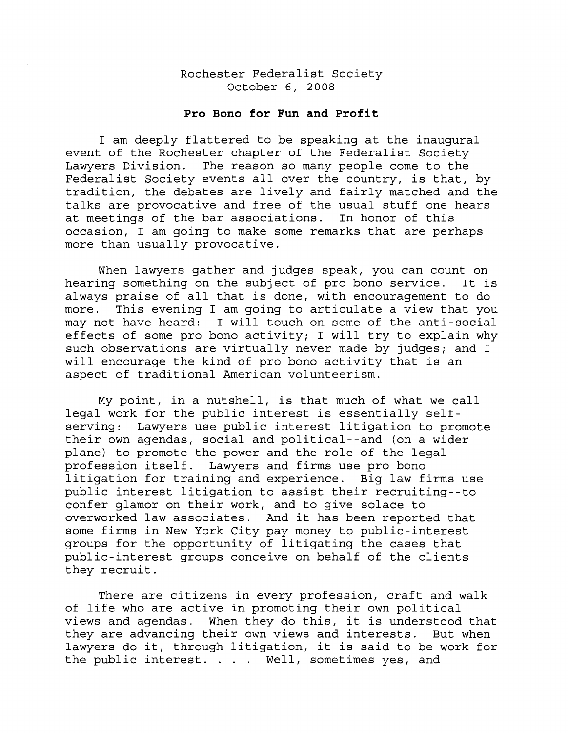## Rochester Federalist Society October 6, 2008

## **Pro Bono for Fun and Profit**

I am deeply flattered to be speaking at the inaugural event of the Rochester chapter of the Federalist Society Lawyers Division. The reason so many people come to the Federalist Society events all over the country, is that, by tradition, the debates are lively and fairly matched and the talks are provocative and free of the usual stuff one hears at meetings of the bar associations. In honor of this occasion, I am going to make some remarks that are perhaps more than usually provocative.

When lawyers gather and judges speak, you can count on hearing something on the subject of pro bono service. It is always praise of all that is done, with encouragement to do more. This evening I am going to articulate a view that you may not have heard: I will touch on some of the anti-social effects of some pro bono activity; I will try to explain why such observations are virtually never made by judges; and I will encourage the kind of pro bono activity that is an aspect of traditional American volunteerism.

My point, in a nutshell, is that much of what we call legal work for the public interest is essentially self-<br>serving: Lawyers use public interest litigation to pro Lawyers use public interest litigation to promote their own agendas, social and political--and (on a wider plane) to promote the power and the role of the legal profession itself. Lawyers and firms use pro bono litigation for training and experience. Big law firms use public interest litigation to assist their recruiting--to confer glamor on their work, and to give solace to overworked law associates. And it has been reported that some firms in New York City pay money to public-interest groups for the opportunity of litigating the cases that public-interest groups conceive on behalf of the clients they recruit.

There are citizens in every profession, craft and walk of life who are active in promoting their own political views and agendas. When they do this, it is understood that they are advancing their own views and interests. But when lawyers do it, through litigation, it is said to be work for the public interest.  $\ldots$  . Well, sometimes yes, and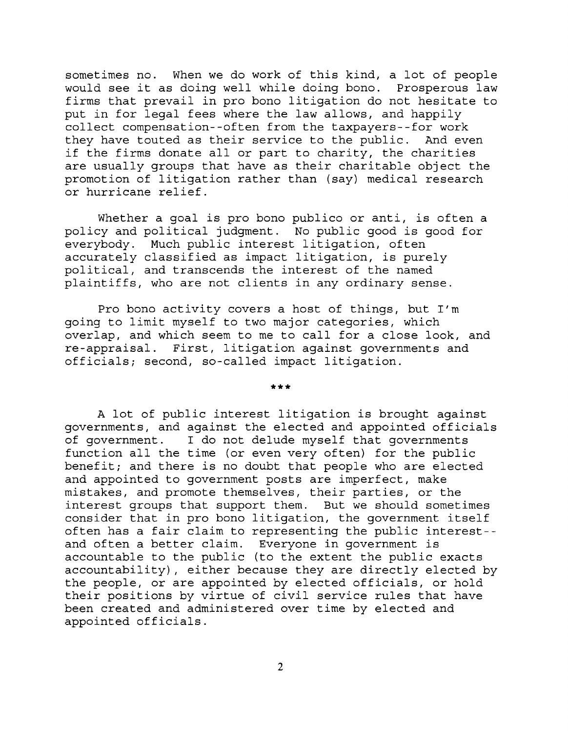sometimes no. When we do work of this kind, a lot of people would see it as doing well while doing bono. Prosperous law firms that prevail in pro bono litigation do not hesitate to put in for legal fees where the law allows, and happily collect compensation--often from the taxpayers--for work they have touted as their service to the public. And even if the firms donate all or part to charity, the charities are usually groups that have as their charitable object the promotion of litigation rather than (say) medical research or hurricane relief.

Whether a goal is pro bono publico or anti, is often a policy and political judgment. No public good is good for everybody. Much public interest litigation, often accurately classified as impact litigation, is purely political, and transcends the interest of the named plaintiffs, who are not clients in any ordinary sense.

Pro bono activity covers a host of things, but I'm going to limit myself to two major categories, which overlap, and which seem to me to call for a close look, and re-appraisal. First, litigation against governments and officials; second, so-called impact litigation.

**\*\*\*** 

A lot of public interest litigation is brought against governments, and against the elected and appointed officials of government. I do not delude myself that governments function all the time (or even very often) for the public benefit; and there is no doubt that people who are elected and appointed to government posts are imperfect, make mistakes, and promote themselves, their parties, or the interest groups that support them. But we should sometimes consider that in pro bono litigation, the government itself often has a fair claim to representing the public interest and often a better claim. Everyone in government is accountable to the public (to the extent the public exacts accountability), either because they are directly elected by the people, or are appointed by elected officials, or hold their positions by virtue of civil service rules that have been created and administered over time by elected and appointed officials.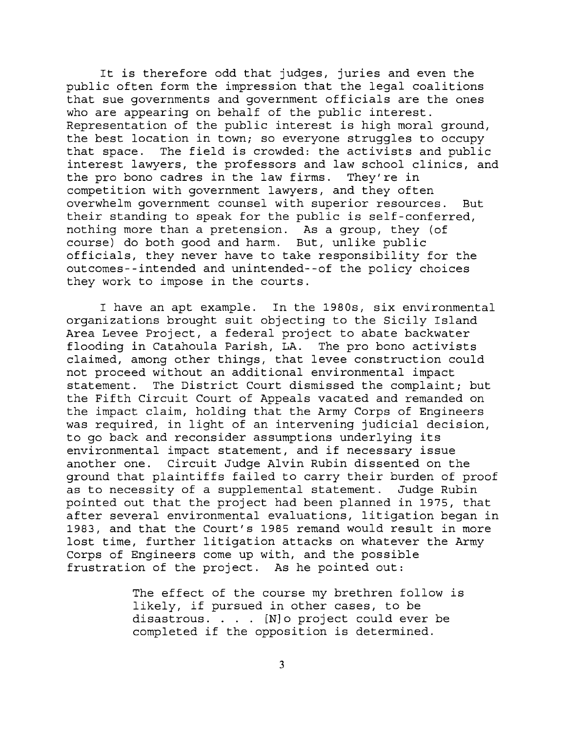It is therefore odd that judges, juries and even the public often form the impression that the legal coalitions that sue governments and government officials are the ones who are appearing on behalf of the public interest. Representation of the public interest is high moral ground, the best location in town; so everyone struggles to occupy that space. The field is crowded: the activists and public interest lawyers, the professors and law school clinics, and<br>the pro bono cadres in the law firms. They're in the pro bono cadres in the law firms. competition with government lawyers, and they often overwhelm government counsel with superior resources. But their standing to speak for the public is self-conferred, nothing more than a pretension. As a group, they (of course) do both good and harm. But, unlike public officials, they never have to take responsibility for the outcomes--intended and unintended--of the policy choices they work to impose in the courts.

I have an apt example. In the 1980s, six environmental organizations brought suit objecting to the Sicily Island Area Levee Project, a federal project to abate backwater flooding in Catahoula Parish, LA. The pro bono activists claimed, among other things, that levee construction could not proceed without an additional environmental impact statement. The District Court dismissed the complaint; but the Fifth Circuit Court of Appeals vacated and remanded on the impact claim, holding that the Army Corps of Engineers was required, in light of an intervening judicial decision, to go back and reconsider assumptions underlying its environmental impact statement, and if necessary issue another one. Circuit Judge Alvin Rubin dissented on the ground that plaintiffs failed to carry their burden of proof as to necessity of a supplemental statement. Judge Rubin pointed out that the project had been planned in 1975, that after several environmental evaluations, litigation began in 1983, and that the Court's 1985 remand would result in more lost time, further litigation attacks on whatever the Army Corps of Engineers come up with, and the possible frustration of the project. As he pointed out:

> The effect of the course my brethren follow is likely, if pursued in other cases, to be disastrous. [N]o project could ever be completed if the opposition is determined.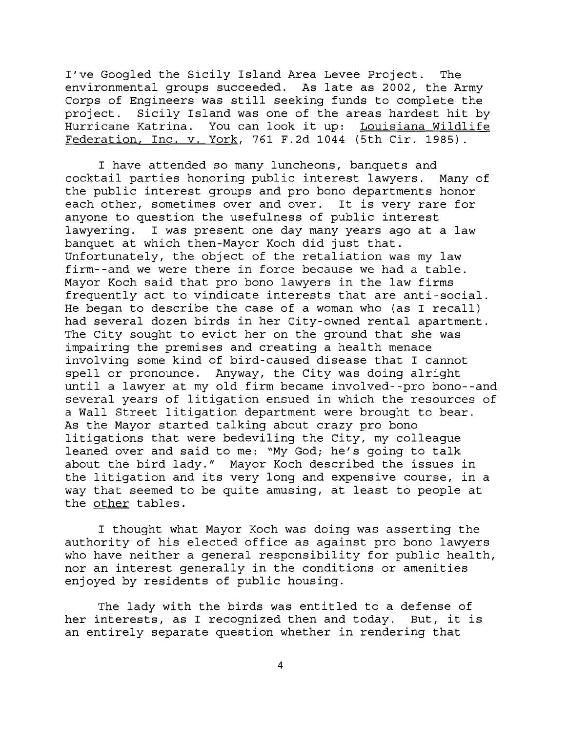I've Googled the Sicily Island Area Levee Project. The environmental groups succeeded. As late as 2002, the Army Corps of Engineers was still seeking funds to complete the project. Sicily Island was one of the areas hardest hit by Hurricane Katrina. You can look it up: Louisiana Wildlife Federation, Inc. v. York, 761 F.2d 1044 (5th Cir. 1985)

I have attended so many luncheons, banquets and cocktail parties honoring public interest lawyers. Many of the public interest groups and pro bono departments honor each other, sometimes over and over. It is very rare for anyone to question the usefulness of public interest lawyering. I was present one day many years ago at a law banquet at which then-Mayor Koch did just that. Unfortunately, the object of the retaliation was my law firm--and we were there in force because we had a table. Mayor Koch said that pro bono lawyers in the law firms frequently act to vindicate interests that are anti-social. He began to describe the case of a woman who (as I recall) had several dozen birds in her City-owned rental apartment. The City sought to evict her on the ground that she was impairing the premises and creating a health menace involving some kind of bird-caused disease that I cannot spell or pronounce. Anyway, the City was doing alright until a lawyer at my old firm became involved--pro bono--and several years of litigation ensued in which the resources of a Wall Street litigation department were brought to bear. As the Mayor started talking about crazy pro bono litigations that were bedeviling the City, my colleague leaned over and said to me: "My God; he's going to talk about the bird lady." Mayor Koch described the issues in the litigation and its very long and expensive course, in a way that seemed to be quite amusing, at least to people at the other tables.

I thought what Mayor Koch was doing was asserting the authority of his elected office as against pro bono lawyers who have neither a general responsibility for public health, nor an interest generally in the conditions or amenities enjoyed by residents of public housing.

The lady with the birds was entitled to a defense of her interests, as I recognized then and today. But, it is an entirely separate question whether in rendering that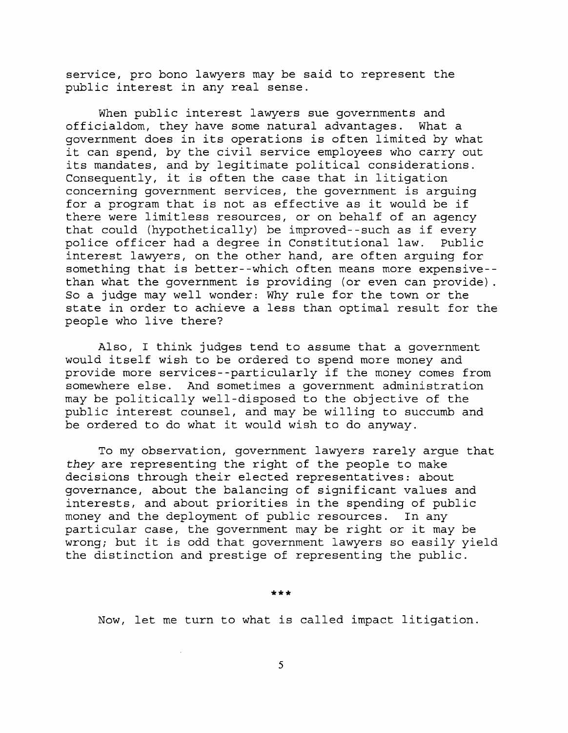service, pro bono lawyers may be said to represent the public interest in any real sense.

When public interest lawyers sue governments and officialdom, they have some natural advantages. What a government does in its operations is often limited by what it can spend, by the civil service employees who carry out its mandates, and by legitimate political considerations. Consequently, it is often the case that in litigation concerning government services, the government is arguing for a program that is not as effective as it would be if there were limitless resources, or on behalf of an agency that could (hypothetically) be improved--such as if every<br>police officer had a degree in Constitutional law. Public police officer had a degree in Constitutional law. interest lawyers, on the other hand, are often arguing for something that is better--which often means more expensive than what the government is providing (or even can provide) . So a judge may well wonder: Why rule for the town or the state in order to achieve a less than optimal result for the people who live there?

Also, I think judges tend to assume that a government would itself wish to be ordered to spend more money and provide more services--particularly if the money comes from somewhere else. And sometimes a government administration may be politically well-disposed to the objective of the public interest counsel, and may be willing to succumb and be ordered to do what it would wish to do anyway.

To my observation, government lawyers rarely argue that *they* are representing the right of the people to make decisions through their elected representatives: about governance, about the balancing of significant values and interests, and about priorities in the spending of public money and the deploYment of public resources. In any particular case, the government may be right or it may be wrong; but it is odd that government lawyers so easily yield the distinction and prestige of representing the public.

**\*\*\*** 

Now, let me turn to what is called impact litigation.

5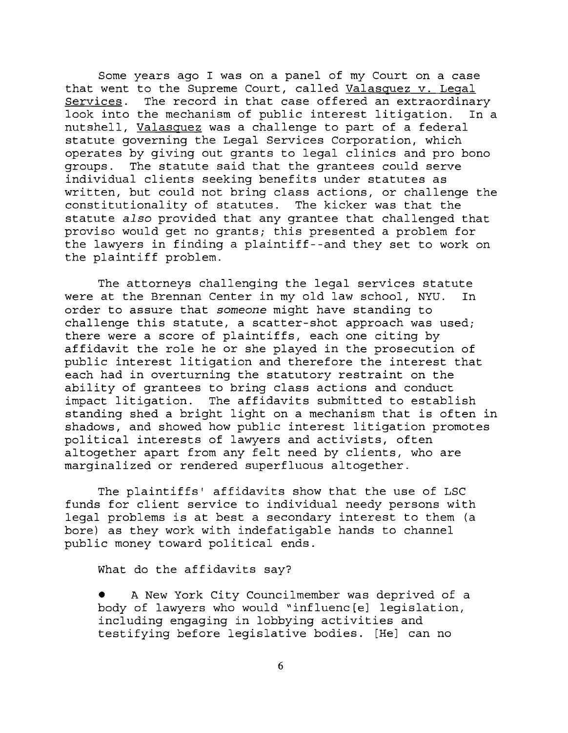Some years ago I was on a panel of my Court on a case that went to the Supreme Court, called Valasguez v. Legal Services. The record in that case offered an extraordinary look into the mechanism of public interest litigation. In a nutshell, Valasguez was a challenge to part of a federal statute governing the Legal Services Corporation, which operates by giving out grants to legal clinics and pro bono<br>groups. The statute said that the grantees could serve The statute said that the grantees could serve individual clients seeking benefits under statutes as written, but could not bring class actions, or challenge the constitutionality of statutes. The kicker was that the statute *also* provided that any grantee that challenged that proviso would get no grants; this presented a problem for the lawyers in finding a plaintiff--and they set to work on the plaintiff problem.

The attorneys challenging the legal services statute were at the Brennan Center in my old law school, NYU. In order to assure that *someone* might have standing to challenge this statute, a scatter-shot approach was used; there were a score of plaintiffs, each one citing by affidavit the role he or she played in the prosecution of public interest litigation and therefore the interest that each had in overturning the statutory restraint on the ability of grantees to bring class actions and conduct impact litigation. The affidavits submitted to establish standing shed a bright light on a mechanism that is often in shadows, and showed how public interest litigation promotes political interests of lawyers and activists, often altogether apart from any felt need by clients, who are marginalized or rendered superfluous altogether.

The plaintiffs' affidavits show that the use of LSC funds for client service to individual needy persons with legal problems is at best a secondary interest to them (a bore) as they work with indefatigable hands to channel public money toward political ends.

What do the affidavits say?

• A New York City Councilmember was deprived of a body of lawyers who would "influenc[e] legislation, including engaging in lobbying activities and testifying before legislative bodies. [He] can no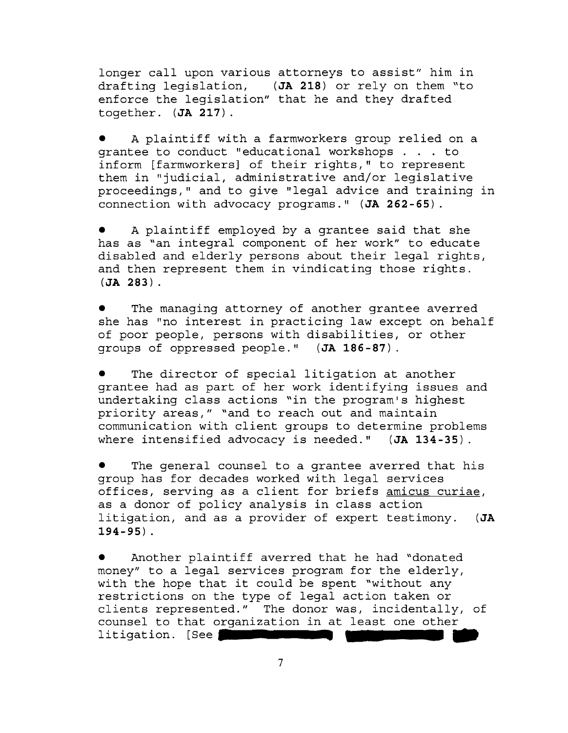longer call upon various attorneys to assist" him in drafting legislation, (JA 218) or rely on them "to enforce the legislation" that he and they drafted together. (JA 217) .

• A plaintiff with a farmworkers group relied on a grantee to conduct "educational workshops. . to inform [farmworkersl of their rights," to represent them in "judicial, administrative and/or legislative proceedings," and to give "legal advice and training in connection with advocacy programs." (JA 262-65).

A plaintiff employed by a grantee said that she has as "an integral component of her work" to educate disabled and elderly persons about their legal rights, and then represent them in vindicating those rights.  $(JA 283)$ .

The managing attorney of another grantee averred she has "no interest in practicing law except on behalf of poor people, persons with disabilities, or other groups of oppressed people." (JA 186-87).

The director of special litigation at another grantee had as part of her work identifying issues and undertaking class actions "in the program's highest priority areas," "and to reach out and maintain communication with client groups to determine problems where intensified advocacy is needed." (JA 134-35).

The general counsel to a grantee averred that his group has for decades worked with legal services offices, serving as a client for briefs amicus curiae, as a donor of policy analysis in class action litigation, and as a provider of expert testimony. (JA 194-95) .

• Another plaintiff averred that he had "donated money" to a legal services program for the elderly, with the hope that it could be spent "without any restrictions on the type of legal action taken or clients represented." The donor was, incidentally, of counsel to that organization in at least one other litigation. [See \_

7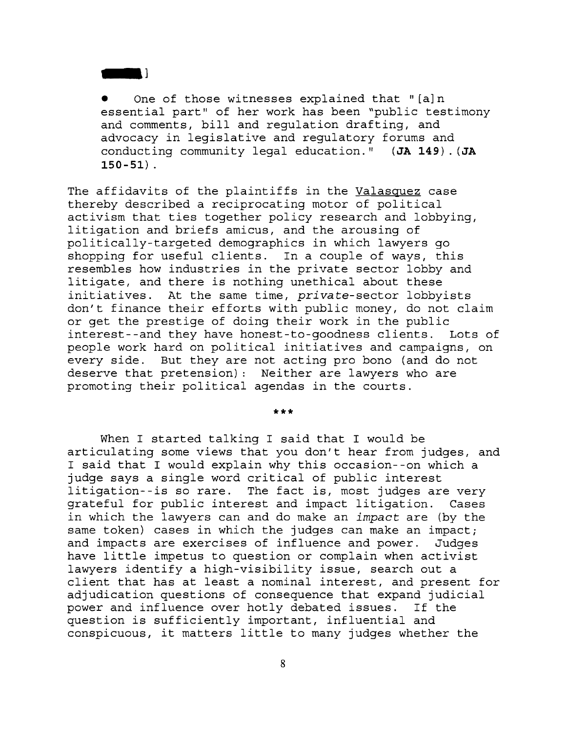**\_l** 

One of those witnesses explained that "[a]n essential part" of her work has been "public testimony and comments, bill and regulation drafting, and advocacy in legislative and regulatory forums and conducting community legal education." **(JA 149). (JA 150-51) .** 

The affidavits of the plaintiffs in the Valasquez case thereby described a reciprocating motor of political activism that ties together policy research and lobbying, litigation and briefs amicus, and the arousing of politically-targeted demographics in which lawyers go shopping for useful clients. In a couple of ways, this resembles how industries in the private sector lobby and litigate, and there is nothing unethical about these initiatives. At the same time, *private-sector* lobbyists don't finance their efforts with public money, do not claim or get the prestige of doing their work in the public interest--and they have honest-to-goodness clients. Lots of people work hard on political initiatives and campaigns, on every side. But they are not acting pro bono (and do not deserve that pretension): Neither are lawyers who are promoting their political agendas in the courts.

**\*\*\*** 

When I started talking I said that I would be articulating some views that you don't hear from judges, and I said that I would explain why this occasion--on which a judge says a single word critical of public interest litigation--is so rare. The fact is, most judges are very grateful for public interest and impact litigation. Cases in which the lawyers can and do make an *impact* are (by the same token) cases in which the judges can make an impact; and impacts are exercises of influence and power. Judges have little impetus to question or complain when activist lawyers identify a high-visibility issue, search out a client that has at least a nominal interest, and present for adjudication questions of consequence that expand judicial power and influence over hotly debated issues. If the question is sufficiently important, influential and conspicuous, it matters little to many judges whether the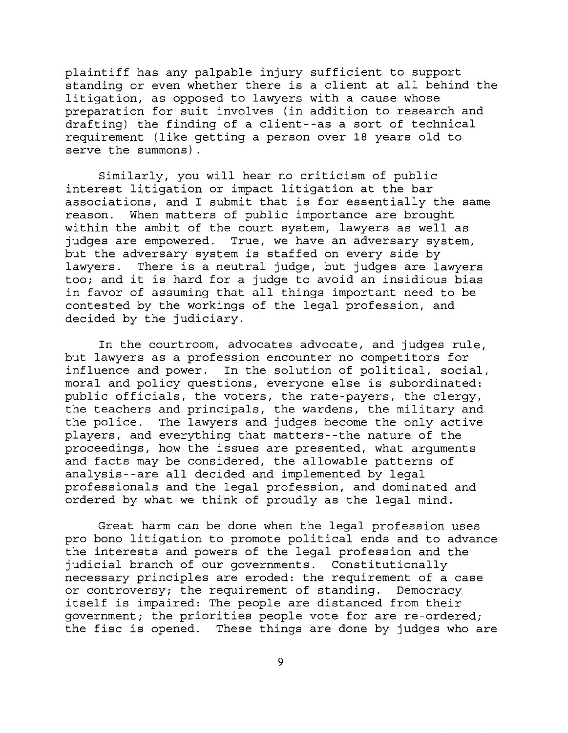plaintiff has any palpable injury sufficient to support standing or even whether there is a client at all behind the litigation, as opposed to lawyers with a cause whose preparation for suit involves (in addition to research and drafting) the finding of a client--as a sort of technical requirement (like getting a person over 18 years old to serve the summons) .

Similarly, you will hear no criticism of public interest litigation or impact litigation at the bar associations, and I submit that is for essentially the same reason. When matters of public importance are brought within the ambit of the court system, lawyers as well as judges are empowered. True, we have an adversary system, but the adversary system is staffed on every side by lawyers. There is a neutral judge, but judges are lawyers too; and it is hard for a judge to avoid an insidious bias in favor of assuming that all things important need to be contested by the workings of the legal profession, and decided by the judiciary.

In the courtroom, advocates advocate, and judges rule, but lawyers as a profession encounter no competitors for influence and power. In the solution of political, social, moral and policy questions, everyone else is subordinated: public officials, the voters, the rate-payers, the clergy, the teachers and principals, the wardens, the military and the police. The lawyers and judges become the only active players, and everything that matters--the nature of the proceedings, how the issues are presented, what arguments and facts may be considered, the allowable patterns of analysis--are all decided and implemented by legal professionals and the legal profession, and dominated and ordered by what we think of proudly as the legal mind.

Great harm can be done when the legal profession uses pro bono litigation to promote political ends and to advance the interests and powers of the legal profession and the judicial branch of our governments. Constitutionally necessary principles are eroded: the requirement of a case or controversy; the requirement of standing. Democracy itself is impaired: The people are distanced from their government; the priorities people vote for are re-ordered; the fisc is opened. These things are done by judges who are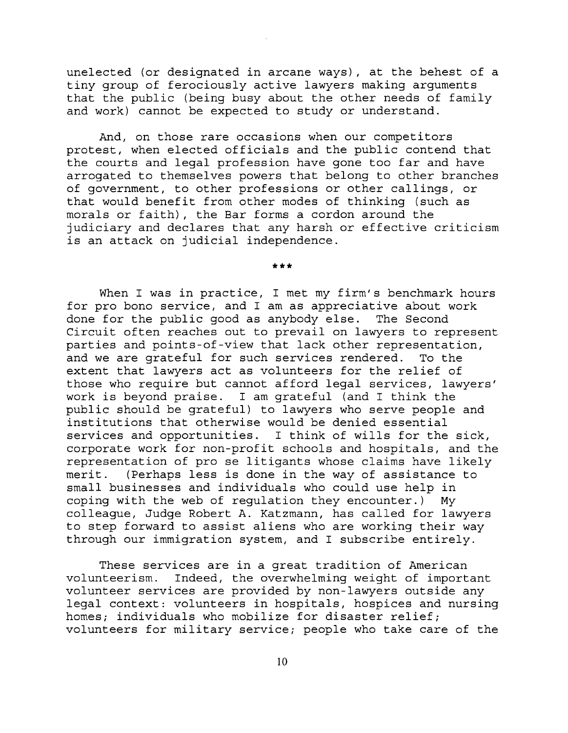unelected (or designated in arcane ways), at the behest of a tiny group of ferociously active lawyers making arguments that the public (being busy about the other needs of family and work) cannot be expected to study or understand.

And, on those rare occasions when our competitors protest, when elected officials and the public contend that the courts and legal profession have gone too far and have arrogated to themselves powers that belong to other branches of government, to other professions or other callings, or that would benefit from other modes of thinking (such as morals or faith), the Bar forms a cordon around the judiciary and declares that any harsh or effective criticism is an attack on judicial independence.

**\*\*\*** 

When I was in practice, I met my firm's benchmark hours for pro bono service, and I am as appreciative about work done for the public good as anybody else. The Second Circuit often reaches out to prevail on lawyers to represent parties and points-of-view that lack other representation, and we are grateful for such services rendered. To the extent that lawyers act as volunteers for the relief of those who require but cannot afford legal services, lawyers'<br>work is beyond praise. I am grateful (and I think the I am grateful (and I think the public should be grateful) to lawyers who serve people and institutions that otherwise would be denied essential<br>services and opportunities. I think of wills for the sick, services and opportunities. corporate work for non-profit schools and hospitals, and the representation of pro se litigants whose claims have likely merit. (Perhaps less is done in the way of assistance to small businesses and individuals who could use help in coping with the web of regulation they encounter.) My colleague, Judge Robert A. Katzmann, has called for lawyers to step forward to assist aliens who are working their way through our immigration system, and I subscribe entirely.

These services are in a great tradition of American volunteerism. Indeed, the overwhelming weight of important volunteer services are provided by non-lawyers outside any legal context: volunteers in hospitals, hospices and nursing homes; individuals who mobilize for disaster relief; volunteers for military service; people who take care of the